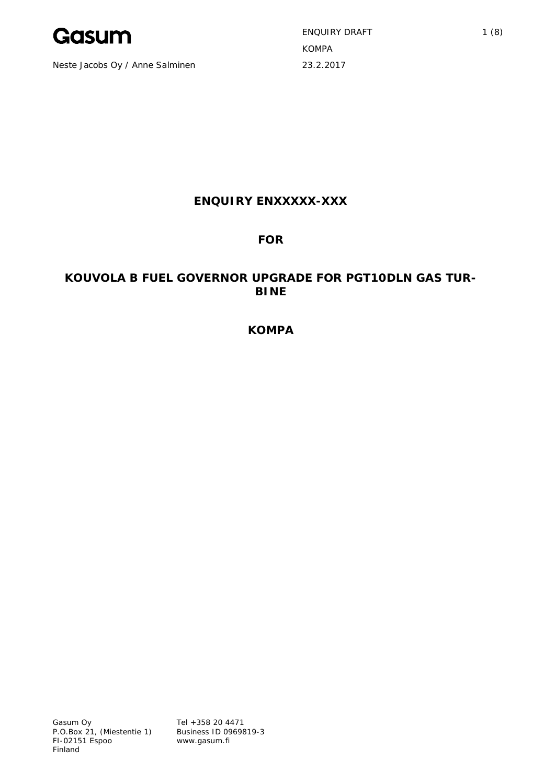

Neste Jacobs Oy / Anne Salminen 23.2.2017

ENQUIRY DRAFT 1 (8) KOMPA

# **ENQUIRY ENXXXXX-XXX**

# **FOR**

# **KOUVOLA B FUEL GOVERNOR UPGRADE FOR PGT10DLN GAS TUR-BINE**

**KOMPA**

Tel +358 20 4471 Business ID 0969819-3 www.gasum.fi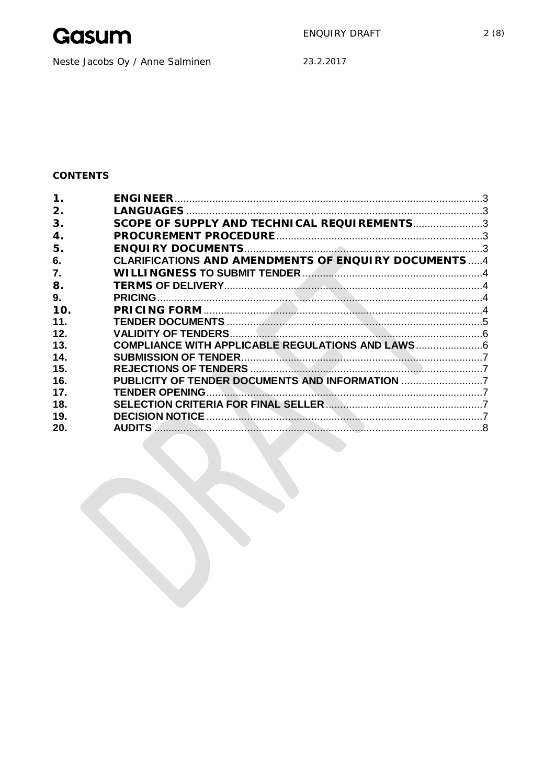

Neste Jacobs Oy / Anne Salminen

23.2.2017

# CONTENTS

| 2.  |                                                            |  |
|-----|------------------------------------------------------------|--|
| 3.  | SCOPE OF SUPPLY AND TECHNICAL REQUIREMENTS3                |  |
| 4.  |                                                            |  |
| 5.  |                                                            |  |
| 6.  | <b>CLARIFICATIONS</b> AND AMENDMENTS OF ENQUIRY DOCUMENTS4 |  |
| 7.  |                                                            |  |
| 8.  |                                                            |  |
| 9.  |                                                            |  |
| 10. |                                                            |  |
| 11. |                                                            |  |
| 12. |                                                            |  |
| 13. | COMPLIANCE WITH APPLICABLE REGULATIONS AND LAWS            |  |
| 14. |                                                            |  |
| 15. |                                                            |  |
| 16. | PUBLICITY OF TENDER DOCUMENTS AND INFORMATION              |  |
| 17. |                                                            |  |
| 18. |                                                            |  |
| 19. |                                                            |  |
| 20. |                                                            |  |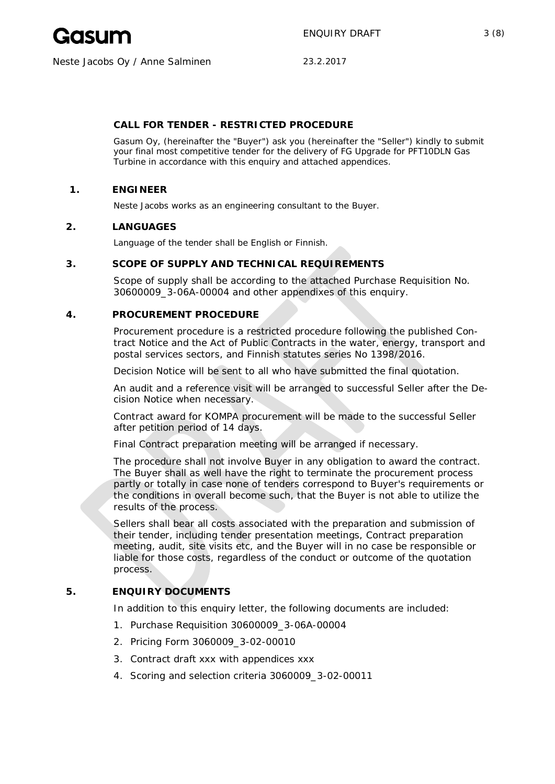

# **CALL FOR TENDER - RESTRICTED PROCEDURE**

Gasum Oy, (hereinafter the "Buyer") ask you (hereinafter the "Seller") kindly to submit your final most competitive tender for the delivery of FG Upgrade for PFT10DLN Gas Turbine in accordance with this enquiry and attached appendices.

#### **1. ENGINEER**

Neste Jacobs works as an engineering consultant to the Buyer.

#### **2. LANGUAGES**

Language of the tender shall be English or Finnish.

## **3. SCOPE OF SUPPLY AND TECHNICAL REQUIREMENTS**

Scope of supply shall be according to the attached Purchase Requisition No. 30600009\_3-06A-00004 and other appendixes of this enquiry.

#### **4. PROCUREMENT PROCEDURE**

Procurement procedure is a restricted procedure following the published Contract Notice and the Act of Public Contracts in the water, energy, transport and postal services sectors, and Finnish statutes series No 1398/2016.

Decision Notice will be sent to all who have submitted the final quotation.

An audit and a reference visit will be arranged to successful Seller after the Decision Notice when necessary.

Contract award for KOMPA procurement will be made to the successful Seller after petition period of 14 days.

Final Contract preparation meeting will be arranged if necessary.

The procedure shall not involve Buyer in any obligation to award the contract. The Buyer shall as well have the right to terminate the procurement process partly or totally in case none of tenders correspond to Buyer's requirements or the conditions in overall become such, that the Buyer is not able to utilize the results of the process.

Sellers shall bear all costs associated with the preparation and submission of their tender, including tender presentation meetings, Contract preparation meeting, audit, site visits etc, and the Buyer will in no case be responsible or liable for those costs, regardless of the conduct or outcome of the quotation process.

# **5. ENQUIRY DOCUMENTS**

In addition to this enquiry letter, the following documents are included:

- 1. Purchase Requisition 30600009\_3-06A-00004
- 2. Pricing Form 3060009\_3-02-00010
- 3. Contract draft xxx with appendices xxx
- 4. Scoring and selection criteria 3060009\_3-02-00011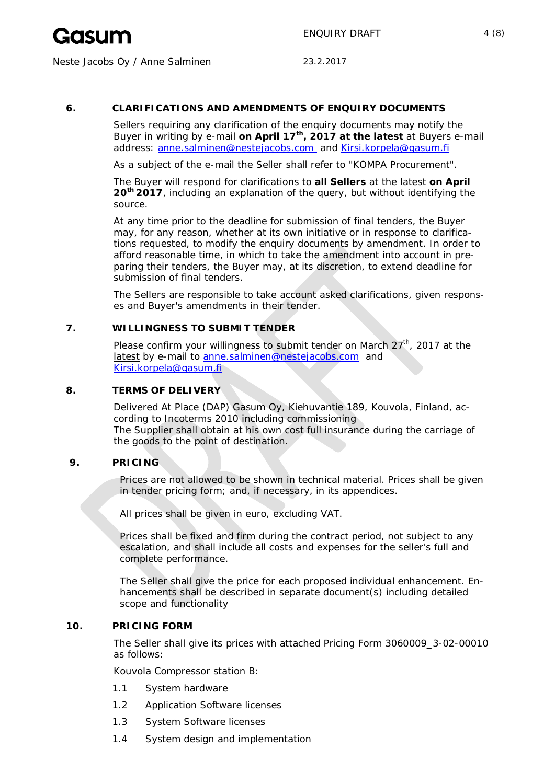

## **6. CLARIFICATIONS AND AMENDMENTS OF ENQUIRY DOCUMENTS**

Sellers requiring any clarification of the enquiry documents may notify the Buyer in writing by e-mail **on April 17th, 2017 at the latest** at Buyers e-mail address: anne.salminen@nestejacobs.com and Kirsi.korpela@gasum.fi

As a subject of the e-mail the Seller shall refer to "KOMPA Procurement".

The Buyer will respond for clarifications to **all Sellers** at the latest **on April 20th 2017**, including an explanation of the query, but without identifying the source.

At any time prior to the deadline for submission of final tenders, the Buyer may, for any reason, whether at its own initiative or in response to clarifications requested, to modify the enquiry documents by amendment. In order to afford reasonable time, in which to take the amendment into account in preparing their tenders, the Buyer may, at its discretion, to extend deadline for submission of final tenders.

The Sellers are responsible to take account asked clarifications, given responses and Buyer's amendments in their tender.

## **7. WILLINGNESS TO SUBMIT TENDER**

Please confirm your willingness to submit tender on March  $27<sup>th</sup>$ , 2017 at the latest by e-mail to anne.salminen@nestejacobs.com and Kirsi.korpela@gasum.fi

## **8. TERMS OF DELIVERY**

Delivered At Place (DAP) Gasum Oy, Kiehuvantie 189, Kouvola, Finland, according to Incoterms 2010 including commissioning The Supplier shall obtain at his own cost full insurance during the carriage of the goods to the point of destination.

## **9. PRICING**

Prices are not allowed to be shown in technical material. Prices shall be given in tender pricing form; and, if necessary, in its appendices.

All prices shall be given in euro, excluding VAT.

Prices shall be fixed and firm during the contract period, not subject to any escalation, and shall include all costs and expenses for the seller's full and complete performance.

The Seller shall give the price for each proposed individual enhancement. Enhancements shall be described in separate document(s) including detailed scope and functionality

## **10. PRICING FORM**

The Seller shall give its prices with attached Pricing Form 3060009\_3-02-00010 as follows:

Kouvola Compressor station B:

- 1.1 System hardware
- 1.2 Application Software licenses
- 1.3 System Software licenses
- 1.4 System design and implementation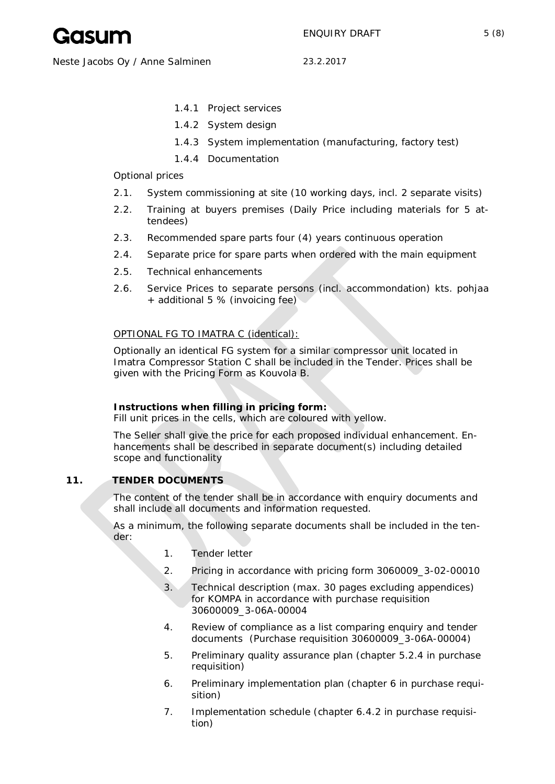

Neste Jacobs Oy / Anne Salminen 23.2.2017

- 1.4.1 Project services
- 1.4.2 System design
- 1.4.3 System implementation (manufacturing, factory test)
- 1.4.4 Documentation

Optional prices

- 2.1. System commissioning at site (10 working days, incl. 2 separate visits)
- 2.2. Training at buyers premises (Daily Price including materials for 5 attendees)
- 2.3. Recommended spare parts four (4) years continuous operation
- 2.4. Separate price for spare parts when ordered with the main equipment
- 2.5. Technical enhancements
- 2.6. Service Prices to separate persons (incl. accommondation) kts. pohjaa + additional 5 % (invoicing fee)

## OPTIONAL FG TO IMATRA C (identical):

Optionally an identical FG system for a similar compressor unit located in Imatra Compressor Station C shall be included in the Tender. Prices shall be given with the Pricing Form as Kouvola B.

**Instructions when filling in pricing form:** Fill unit prices in the cells, which are coloured with yellow.

The Seller shall give the price for each proposed individual enhancement. Enhancements shall be described in separate document(s) including detailed scope and functionality

## **11. TENDER DOCUMENTS**

The content of the tender shall be in accordance with enquiry documents and shall include all documents and information requested.

As a minimum, the following separate documents shall be included in the tender:

- 1. Tender letter
- 2. Pricing in accordance with pricing form 3060009\_3-02-00010
- 3. Technical description (max. 30 pages excluding appendices) for KOMPA in accordance with purchase requisition 30600009\_3-06A-00004
- 4. Review of compliance as a list comparing enquiry and tender documents (Purchase requisition 30600009\_3-06A-00004)
- 5. Preliminary quality assurance plan (chapter 5.2.4 in purchase requisition)
- 6. Preliminary implementation plan (chapter 6 in purchase requisition)
- 7. Implementation schedule (chapter 6.4.2 in purchase requisition)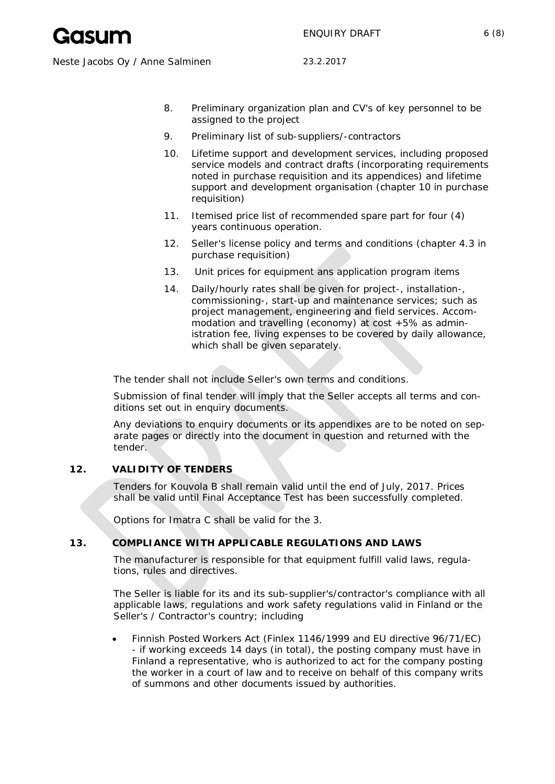- 8. Preliminary organization plan and CV's of key personnel to be assigned to the project
- 9. Preliminary list of sub-suppliers/-contractors
- 10. Lifetime support and development services, including proposed service models and contract drafts (incorporating requirements noted in purchase requisition and its appendices) and lifetime support and development organisation (chapter 10 in purchase requisition)
- 11. Itemised price list of recommended spare part for four (4) years continuous operation.
- 12. Seller's license policy and terms and conditions (chapter 4.3 in purchase requisition)
- 13. Unit prices for equipment ans application program items
- 14. Daily/hourly rates shall be given for project-, installation-, commissioning-, start-up and maintenance services; such as project management, engineering and field services. Accommodation and travelling (economy) at cost +5% as administration fee, living expenses to be covered by daily allowance, which shall be given separately.

The tender shall not include Seller's own terms and conditions.

Submission of final tender will imply that the Seller accepts all terms and conditions set out in enquiry documents.

Any deviations to enquiry documents or its appendixes are to be noted on separate pages or directly into the document in question and returned with the tender.

# **12. VALIDITY OF TENDERS**

Tenders for Kouvola B shall remain valid until the end of July, 2017. Prices shall be valid until Final Acceptance Test has been successfully completed.

Options for Imatra C shall be valid for the 3.

## **13. COMPLIANCE WITH APPLICABLE REGULATIONS AND LAWS**

The manufacturer is responsible for that equipment fulfill valid laws, regulations, rules and directives.

The Seller is liable for its and its sub-supplier's/contractor's compliance with all applicable laws, regulations and work safety regulations valid in Finland or the Seller's / Contractor's country; including

Finnish Posted Workers Act (Finlex 1146/1999 and EU directive 96/71/EC) - if working exceeds 14 days (in total), the posting company must have in Finland a representative, who is authorized to act for the company posting the worker in a court of law and to receive on behalf of this company writs of summons and other documents issued by authorities.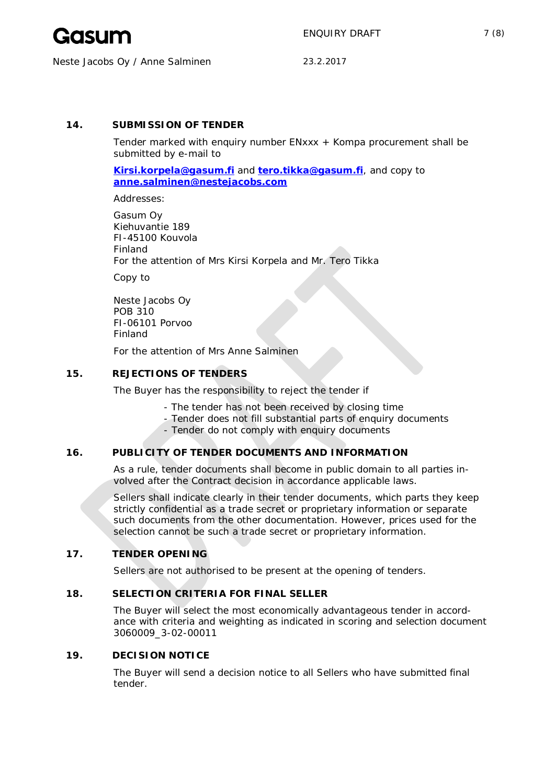

# **14. SUBMISSION OF TENDER**

Tender marked with enquiry number ENxxx + Kompa procurement shall be submitted by e-mail to

**Kirsi.korpela@gasum.fi** and **tero.tikka@gasum.fi**, and copy to **anne.salminen@nestejacobs.com**

Addresses:

Gasum Oy Kiehuvantie 189 FI-45100 Kouvola Finland For the attention of Mrs Kirsi Korpela and Mr. Tero Tikka

Copy to

Neste Jacobs Oy POB 310 FI-06101 Porvoo Finland

For the attention of Mrs Anne Salminen

## **15. REJECTIONS OF TENDERS**

The Buyer has the responsibility to reject the tender if

- The tender has not been received by closing time
- Tender does not fill substantial parts of enquiry documents
- Tender do not comply with enquiry documents

# **16. PUBLICITY OF TENDER DOCUMENTS AND INFORMATION**

As a rule, tender documents shall become in public domain to all parties involved after the Contract decision in accordance applicable laws.

Sellers shall indicate clearly in their tender documents, which parts they keep strictly confidential as a trade secret or proprietary information or separate such documents from the other documentation. However, prices used for the selection cannot be such a trade secret or proprietary information.

## **17. TENDER OPENING**

Sellers are not authorised to be present at the opening of tenders.

## **18. SELECTION CRITERIA FOR FINAL SELLER**

The Buyer will select the most economically advantageous tender in accordance with criteria and weighting as indicated in scoring and selection document 3060009\_3-02-00011

## **19. DECISION NOTICE**

The Buyer will send a decision notice to all Sellers who have submitted final tender.